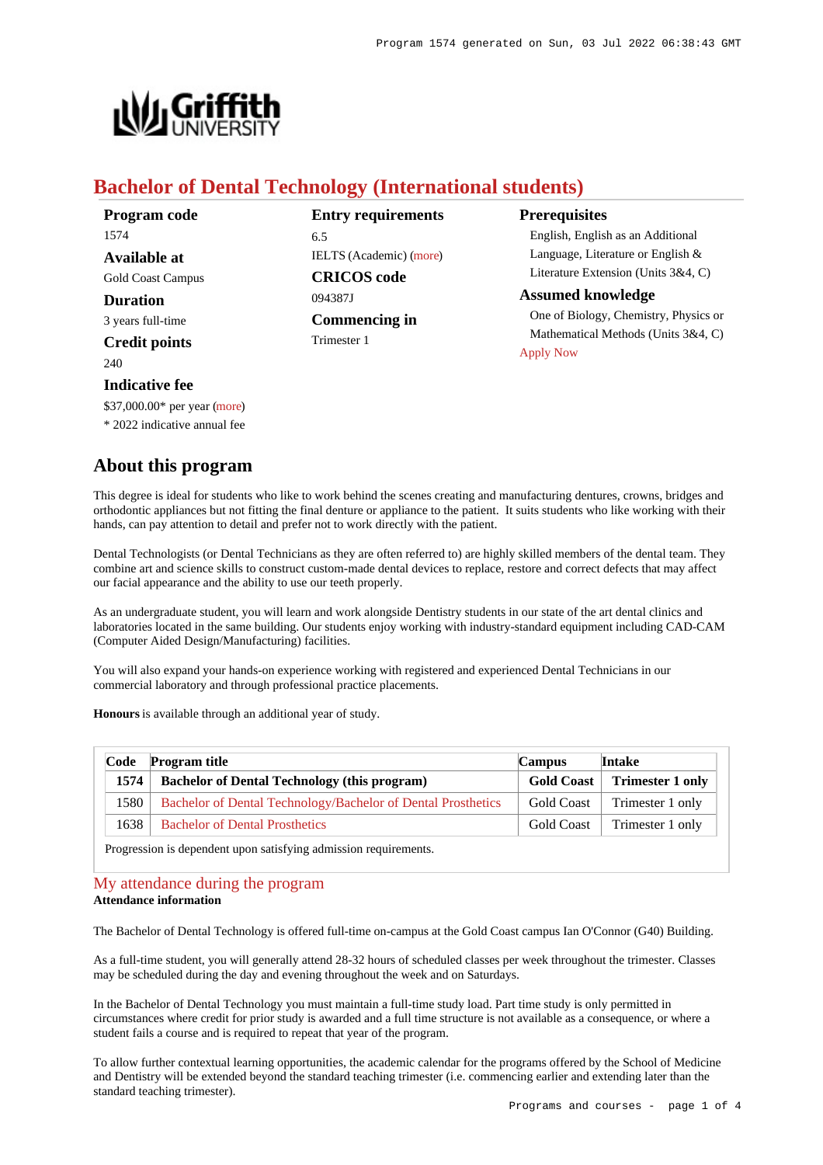

# **Bachelor of Dental Technology (International students)**

| Program code             | <b>Entry requirements</b>      | <b>Prerequisites</b><br>English, English as an Additional                                                                    |  |
|--------------------------|--------------------------------|------------------------------------------------------------------------------------------------------------------------------|--|
| 1574                     | 6.5                            |                                                                                                                              |  |
| <b>Available at</b>      | <b>IELTS</b> (Academic) (more) | Language, Literature or English &                                                                                            |  |
| <b>Gold Coast Campus</b> | <b>CRICOS</b> code             | Literature Extension (Units $3&4, C$ )                                                                                       |  |
| <b>Duration</b>          | 094387J                        | <b>Assumed knowledge</b><br>One of Biology, Chemistry, Physics or<br>Mathematical Methods (Units 3&4, C)<br><b>Apply Now</b> |  |
| 3 years full-time        | <b>Commencing in</b>           |                                                                                                                              |  |
| <b>Credit points</b>     | Trimester 1                    |                                                                                                                              |  |
| 240                      |                                |                                                                                                                              |  |

## **Indicative fee**

\$37,000.00\* per year [\(more](https://www148.griffith.edu.au/programs-courses/Program/1574/Overview/International#fees))

\* 2022 indicative annual fee

## **About this program**

This degree is ideal for students who like to work behind the scenes creating and manufacturing dentures, crowns, bridges and orthodontic appliances but not fitting the final denture or appliance to the patient. It suits students who like working with their hands, can pay attention to detail and prefer not to work directly with the patient.

Dental Technologists (or Dental Technicians as they are often referred to) are highly skilled members of the dental team. They combine art and science skills to construct custom-made dental devices to replace, restore and correct defects that may affect our facial appearance and the ability to use our teeth properly.

As an undergraduate student, you will learn and work alongside Dentistry students in our state of the art dental clinics and laboratories located in the same building. Our students enjoy working with industry-standard equipment including CAD-CAM (Computer Aided Design/Manufacturing) facilities.

You will also expand your hands-on experience working with registered and experienced Dental Technicians in our commercial laboratory and through professional practice placements.

**Honours** is available through an additional year of study.

| Code  | <b>Program title</b>                                         | <b>Campus</b>     | <b>Intake</b>           |
|-------|--------------------------------------------------------------|-------------------|-------------------------|
| 1574  | <b>Bachelor of Dental Technology (this program)</b>          | <b>Gold Coast</b> | <b>Trimester 1 only</b> |
| 1580- | Bachelor of Dental Technology/Bachelor of Dental Prosthetics | <b>Gold Coast</b> | Trimester 1 only        |
| 1638  | <b>Bachelor of Dental Prosthetics</b>                        | <b>Gold Coast</b> | Trimester 1 only        |

Progression is dependent upon satisfying admission requirements.

## [My attendance during the program](https://www148.griffith.edu.au/programs-courses/Program/1574/Overview/International#attendance)

## **Attendance information**

The Bachelor of Dental Technology is offered full-time on-campus at the Gold Coast campus Ian O'Connor (G40) Building.

As a full-time student, you will generally attend 28-32 hours of scheduled classes per week throughout the trimester. Classes may be scheduled during the day and evening throughout the week and on Saturdays.

In the Bachelor of Dental Technology you must maintain a full-time study load. Part time study is only permitted in circumstances where credit for prior study is awarded and a full time structure is not available as a consequence, or where a student fails a course and is required to repeat that year of the program.

To allow further contextual learning opportunities, the academic calendar for the programs offered by the School of Medicine and Dentistry will be extended beyond the standard teaching trimester (i.e. commencing earlier and extending later than the standard teaching trimester).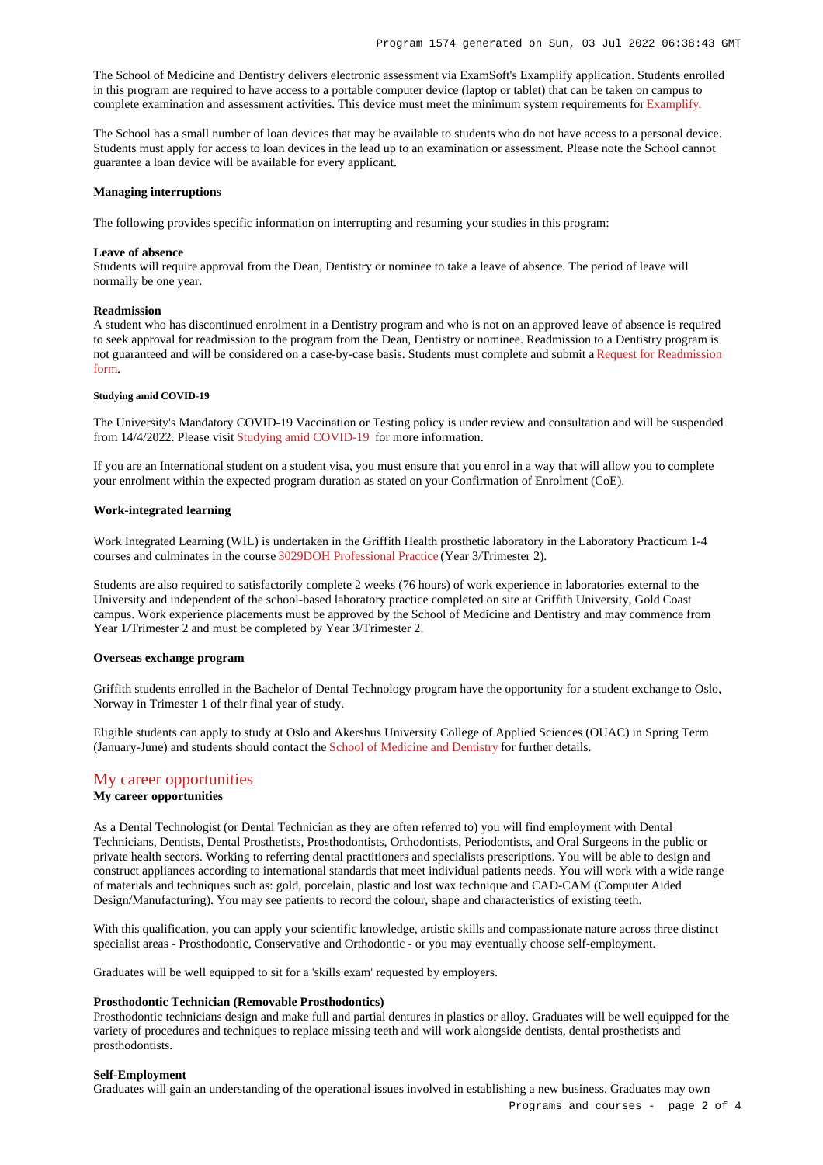The School of Medicine and Dentistry delivers electronic assessment via ExamSoft's Examplify application. Students enrolled in this program are required to have access to a portable computer device (laptop or tablet) that can be taken on campus to complete examination and assessment activities. This device must meet the minimum system requirements for [Examplify](https://examsoft.com/resources/examplify-minimum-system-requirements/).

The School has a small number of loan devices that may be available to students who do not have access to a personal device. Students must apply for access to loan devices in the lead up to an examination or assessment. Please note the School cannot guarantee a loan device will be available for every applicant.

### **Managing interruptions**

The following provides specific information on interrupting and resuming your studies in this program:

#### **Leave of absence**

Students will require approval from the Dean, Dentistry or nominee to take a leave of absence. The period of leave will normally be one year.

#### **Readmission**

A student who has discontinued enrolment in a Dentistry program and who is not on an approved leave of absence is required to seek approval for readmission to the program from the Dean, Dentistry or nominee. Readmission to a Dentistry program is not guaranteed and will be considered on a case-by-case basis. Students must complete and submit a [Request for Readmission](https://www.griffith.edu.au/apply/readmission-internal-transfers/readmission) [form](https://www.griffith.edu.au/apply/readmission-internal-transfers/readmission).

#### **Studying amid COVID-19**

The University's Mandatory COVID-19 Vaccination or Testing policy is under review and consultation and will be suspended from 14/4/2022. Please visit [Studying amid COVID-19](https://www.griffith.edu.au/coronavirus/studying-amid-covid-19) for more information.

If you are an International student on a student visa, you must ensure that you enrol in a way that will allow you to complete your enrolment within the expected program duration as stated on your Confirmation of Enrolment (CoE).

#### **Work-integrated learning**

Work Integrated Learning (WIL) is undertaken in the Griffith Health prosthetic laboratory in the Laboratory Practicum 1-4 courses and culminates in the course [3029DOH Professional Practice](https://www148.griffith.edu.au/Course/3029DOH) (Year 3/Trimester 2).

Students are also required to satisfactorily complete 2 weeks (76 hours) of work experience in laboratories external to the University and independent of the school-based laboratory practice completed on site at Griffith University, Gold Coast campus. Work experience placements must be approved by the School of Medicine and Dentistry and may commence from Year 1/Trimester 2 and must be completed by Year 3/Trimester 2.

## **Overseas exchange program**

Griffith students enrolled in the Bachelor of Dental Technology program have the opportunity for a student exchange to Oslo, Norway in Trimester 1 of their final year of study.

Eligible students can apply to study at Oslo and Akershus University College of Applied Sciences (OUAC) in Spring Term (January-June) and students should contact the [School of Medicine and Dentistry](https://www.griffith.edu.au/griffith-health/school-medicine-dentistry) for further details.

## [My career opportunities](https://www148.griffith.edu.au/programs-courses/Program/1574/Overview/International#opportunities)

## **My career opportunities**

As a Dental Technologist (or Dental Technician as they are often referred to) you will find employment with Dental Technicians, Dentists, Dental Prosthetists, Prosthodontists, Orthodontists, Periodontists, and Oral Surgeons in the public or private health sectors. Working to referring dental practitioners and specialists prescriptions. You will be able to design and construct appliances according to international standards that meet individual patients needs. You will work with a wide range of materials and techniques such as: gold, porcelain, plastic and lost wax technique and CAD-CAM (Computer Aided Design/Manufacturing). You may see patients to record the colour, shape and characteristics of existing teeth.

With this qualification, you can apply your scientific knowledge, artistic skills and compassionate nature across three distinct specialist areas - Prosthodontic, Conservative and Orthodontic - or you may eventually choose self-employment.

Graduates will be well equipped to sit for a 'skills exam' requested by employers.

#### **Prosthodontic Technician (Removable Prosthodontics)**

Prosthodontic technicians design and make full and partial dentures in plastics or alloy. Graduates will be well equipped for the variety of procedures and techniques to replace missing teeth and will work alongside dentists, dental prosthetists and prosthodontists.

#### **Self-Employment**

Graduates will gain an understanding of the operational issues involved in establishing a new business. Graduates may own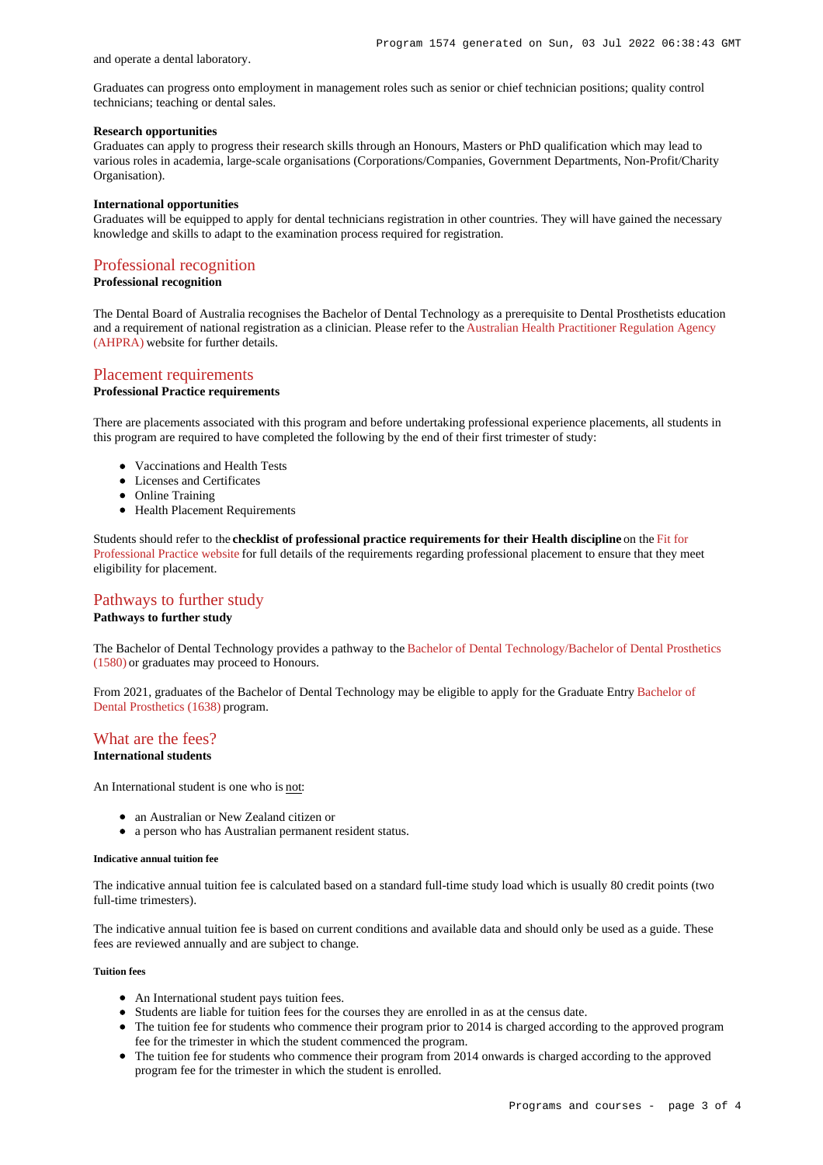and operate a dental laboratory.

Graduates can progress onto employment in management roles such as senior or chief technician positions; quality control technicians; teaching or dental sales.

## **Research opportunities**

Graduates can apply to progress their research skills through an Honours, Masters or PhD qualification which may lead to various roles in academia, large-scale organisations (Corporations/Companies, Government Departments, Non-Profit/Charity Organisation).

### **International opportunities**

Graduates will be equipped to apply for dental technicians registration in other countries. They will have gained the necessary knowledge and skills to adapt to the examination process required for registration.

## [Professional recognition](https://www148.griffith.edu.au/programs-courses/Program/1574/Overview/International#recognition)

**Professional recognition**

The Dental Board of Australia recognises the Bachelor of Dental Technology as a prerequisite to Dental Prosthetists education and a requirement of national registration as a clinician. Please refer to the [Australian Health Practitioner Regulation Agency](https://www.ahpra.gov.au/) [\(AHPRA\)](https://www.ahpra.gov.au/) website for further details.

# [Placement requirements](https://www148.griffith.edu.au/programs-courses/Program/1574/Overview/International#placement)

## **Professional Practice requirements**

There are placements associated with this program and before undertaking professional experience placements, all students in this program are required to have completed the following by the end of their first trimester of study:

- Vaccinations and Health Tests
- Licenses and Certificates
- Online Training
- Health Placement Requirements

Students should refer to the **checklist of professional practice requirements for their Health discipline** on the [Fit for](https://www.griffith.edu.au/griffith-health/fit-for-professional-practice) [Professional Practice website](https://www.griffith.edu.au/griffith-health/fit-for-professional-practice) for full details of the requirements regarding professional placement to ensure that they meet eligibility for placement.

## [Pathways to further study](https://www148.griffith.edu.au/programs-courses/Program/1574/Overview/International#pathways)

## **Pathways to further study**

The Bachelor of Dental Technology provides a pathway to the [Bachelor of Dental Technology/Bachelor of Dental Prosthetics](https://www148.griffith.edu.au/Search/Results?SearchText=1580) [\(1580\)](https://www148.griffith.edu.au/Search/Results?SearchText=1580) or graduates may proceed to Honours.

From 2021, graduates of the Bachelor of Dental Technology may be eligible to apply for the Graduate Entry [Bachelor of](https://www148.griffith.edu.au/Search/Results?SearchText=1638) [Dental Prosthetics \(1638\)](https://www148.griffith.edu.au/Search/Results?SearchText=1638) program.

## [What are the fees?](https://www148.griffith.edu.au/programs-courses/Program/1574/Overview/International#fees)

## **International students**

An International student is one who is not:

- an Australian or New Zealand citizen or
- a person who has Australian permanent resident status.

#### **Indicative annual tuition fee**

The indicative annual tuition fee is calculated based on a standard full-time study load which is usually 80 credit points (two full-time trimesters).

The indicative annual tuition fee is based on current conditions and available data and should only be used as a guide. These fees are reviewed annually and are subject to change.

### **Tuition fees**

- An International student pays tuition fees.
- Students are liable for tuition fees for the courses they are enrolled in as at the census date.
- The tuition fee for students who commence their program prior to 2014 is charged according to the approved program fee for the trimester in which the student commenced the program.
- The tuition fee for students who commence their program from 2014 onwards is charged according to the approved program fee for the trimester in which the student is enrolled.